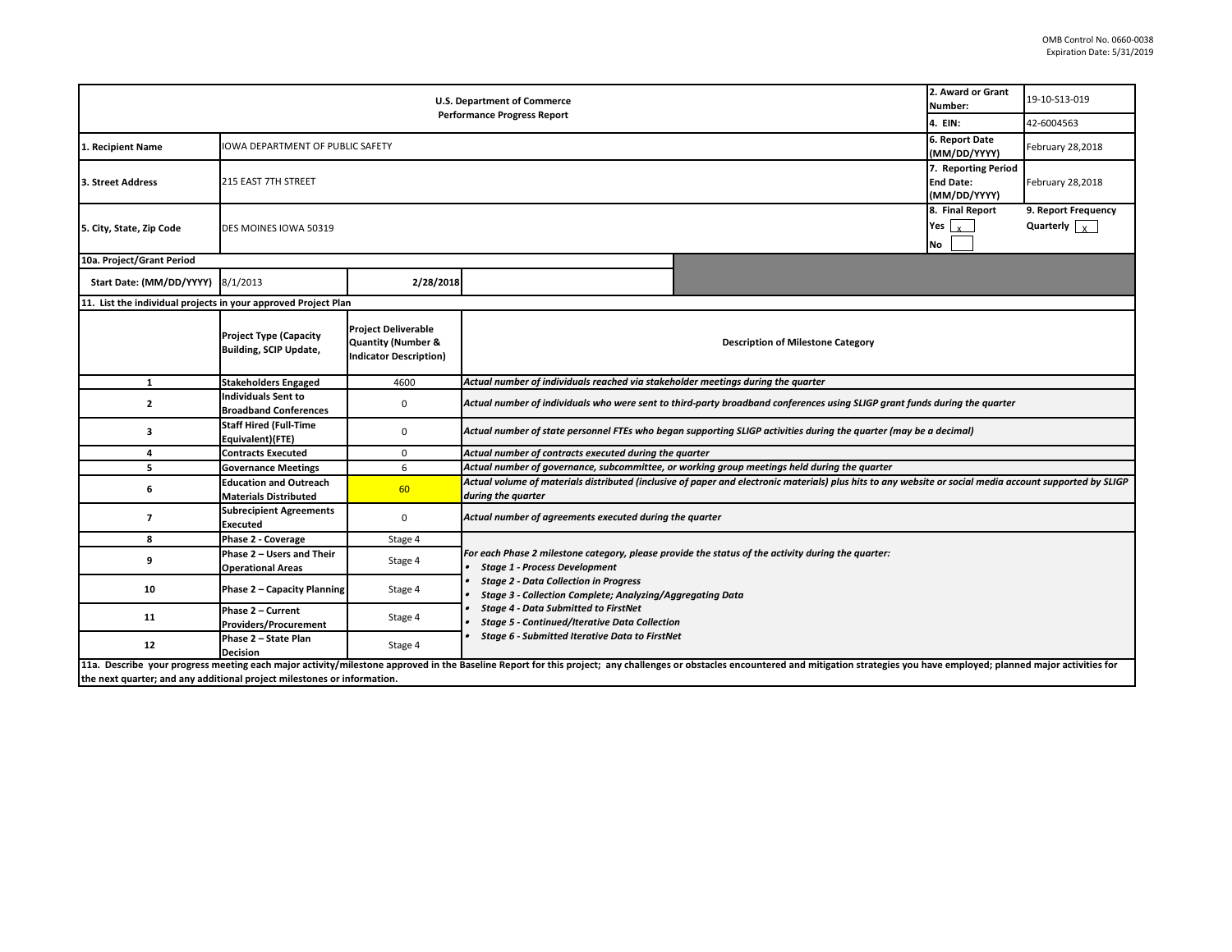|                                                                                                                                                                                                                                | 2. Award or Grant<br>Number:                                   | 19-10-S13-019                                                                                |                                                                                                                                                                                                                  |  |  |  |  |  |  |  |
|--------------------------------------------------------------------------------------------------------------------------------------------------------------------------------------------------------------------------------|----------------------------------------------------------------|----------------------------------------------------------------------------------------------|------------------------------------------------------------------------------------------------------------------------------------------------------------------------------------------------------------------|--|--|--|--|--|--|--|
|                                                                                                                                                                                                                                | 4. EIN:                                                        | 42-6004563                                                                                   |                                                                                                                                                                                                                  |  |  |  |  |  |  |  |
| 1. Recipient Name                                                                                                                                                                                                              | <b>IOWA DEPARTMENT OF PUBLIC SAFETY</b>                        | 6. Report Date<br>(MM/DD/YYYY)                                                               | February 28,2018                                                                                                                                                                                                 |  |  |  |  |  |  |  |
| 3. Street Address                                                                                                                                                                                                              | 215 EAST 7TH STREET                                            | 7. Reporting Period<br><b>End Date:</b><br>(MM/DD/YYYY)                                      | February 28,2018                                                                                                                                                                                                 |  |  |  |  |  |  |  |
| 5. City, State, Zip Code                                                                                                                                                                                                       | DES MOINES IOWA 50319                                          | 8. Final Report<br>Yes $\vert x \vert$<br>No                                                 | 9. Report Frequency<br>Quarterly $\sqrt{x}$                                                                                                                                                                      |  |  |  |  |  |  |  |
| 10a. Project/Grant Period                                                                                                                                                                                                      |                                                                |                                                                                              |                                                                                                                                                                                                                  |  |  |  |  |  |  |  |
| Start Date: (MM/DD/YYYY) 8/1/2013                                                                                                                                                                                              |                                                                | 2/28/2018                                                                                    |                                                                                                                                                                                                                  |  |  |  |  |  |  |  |
| 11. List the individual projects in your approved Project Plan                                                                                                                                                                 |                                                                |                                                                                              |                                                                                                                                                                                                                  |  |  |  |  |  |  |  |
|                                                                                                                                                                                                                                | <b>Project Type (Capacity</b><br><b>Building, SCIP Update,</b> | <b>Project Deliverable</b><br><b>Quantity (Number &amp;</b><br><b>Indicator Description)</b> | <b>Description of Milestone Category</b>                                                                                                                                                                         |  |  |  |  |  |  |  |
| $\mathbf{1}$                                                                                                                                                                                                                   | <b>Stakeholders Engaged</b>                                    | 4600                                                                                         | Actual number of individuals reached via stakeholder meetings during the quarter                                                                                                                                 |  |  |  |  |  |  |  |
| $\overline{2}$                                                                                                                                                                                                                 | <b>Individuals Sent to</b><br><b>Broadband Conferences</b>     | 0                                                                                            | Actual number of individuals who were sent to third-party broadband conferences using SLIGP grant funds during the quarter                                                                                       |  |  |  |  |  |  |  |
| з                                                                                                                                                                                                                              | <b>Staff Hired (Full-Time</b><br>Equivalent)(FTE)              | 0                                                                                            | Actual number of state personnel FTEs who began supporting SLIGP activities during the quarter (may be a decimal)                                                                                                |  |  |  |  |  |  |  |
| 4                                                                                                                                                                                                                              | <b>Contracts Executed</b>                                      | 0                                                                                            | Actual number of contracts executed during the quarter                                                                                                                                                           |  |  |  |  |  |  |  |
| 5                                                                                                                                                                                                                              | <b>Governance Meetings</b>                                     | 6                                                                                            | Actual number of governance, subcommittee, or working group meetings held during the quarter                                                                                                                     |  |  |  |  |  |  |  |
| 6                                                                                                                                                                                                                              | <b>Education and Outreach</b><br><b>Materials Distributed</b>  | 60                                                                                           | Actual volume of materials distributed (inclusive of paper and electronic materials) plus hits to any website or social media account supported by SLIGP<br>during the quarter                                   |  |  |  |  |  |  |  |
| $\overline{7}$                                                                                                                                                                                                                 | <b>Subrecipient Agreements</b><br><b>Executed</b>              | $\mathbf 0$                                                                                  | Actual number of agreements executed during the quarter                                                                                                                                                          |  |  |  |  |  |  |  |
| 8                                                                                                                                                                                                                              | Phase 2 - Coverage                                             | Stage 4                                                                                      |                                                                                                                                                                                                                  |  |  |  |  |  |  |  |
| 9                                                                                                                                                                                                                              | Phase 2 - Users and Their<br><b>Operational Areas</b>          | Stage 4                                                                                      | For each Phase 2 milestone category, please provide the status of the activity during the quarter:<br><b>Stage 1 - Process Development</b>                                                                       |  |  |  |  |  |  |  |
| 10                                                                                                                                                                                                                             | Phase 2 - Capacity Planning                                    | Stage 4                                                                                      | <b>Stage 2 - Data Collection in Progress</b><br>Stage 3 - Collection Complete; Analyzing/Aggregating Data<br><b>Stage 4 - Data Submitted to FirstNet</b><br><b>Stage 5 - Continued/Iterative Data Collection</b> |  |  |  |  |  |  |  |
| 11                                                                                                                                                                                                                             | Phase 2 - Current<br><b>Providers/Procurement</b>              | Stage 4                                                                                      |                                                                                                                                                                                                                  |  |  |  |  |  |  |  |
| 12                                                                                                                                                                                                                             | Phase 2 - State Plan<br><b>Decision</b>                        | Stage 4                                                                                      | Stage 6 - Submitted Iterative Data to FirstNet                                                                                                                                                                   |  |  |  |  |  |  |  |
| 11a. Describe your progress meeting each major activity/milestone approved in the Baseline Report for this project; any challenges or obstacles encountered and mitigation strategies you have employed; planned major activit |                                                                |                                                                                              |                                                                                                                                                                                                                  |  |  |  |  |  |  |  |

**the next quarter; and any additional project milestones or information.**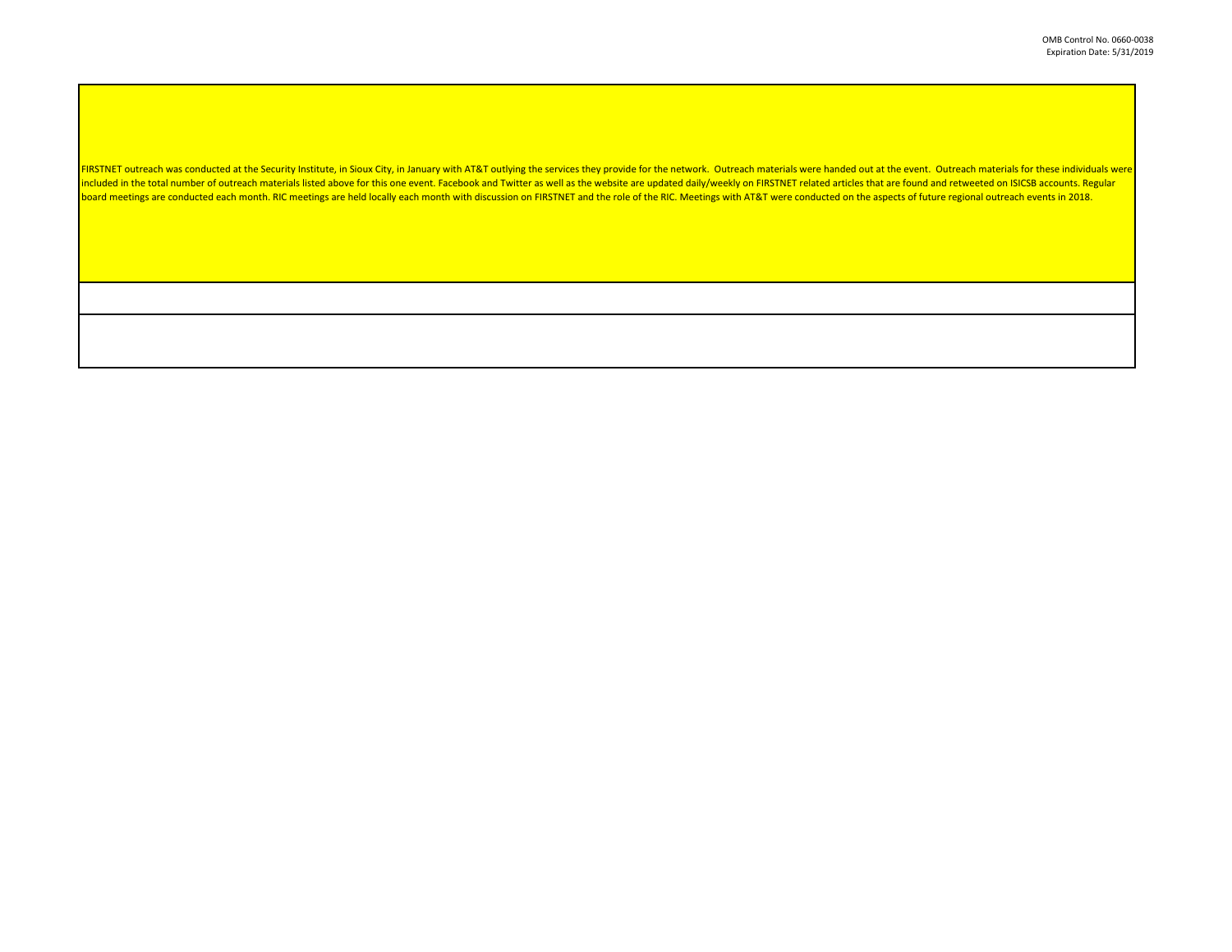FIRSTNET outreach was conducted at the Security Institute, in Sioux City, in January with AT&T outlying the services they provide for the network. Outreach materials were handed out at the event. Outreach materials for the included in the total number of outreach materials listed above for this one event. Facebook and Twitter as well as the website are updated daily/weekly on FIRSTNET related articles that are found and retweeted on ISICSB a board meetings are conducted each month. RIC meetings are held locally each month with discussion on FIRSTNET and the role of the RIC. Meetings with AT&T were conducted on the aspects of future regional outreach events in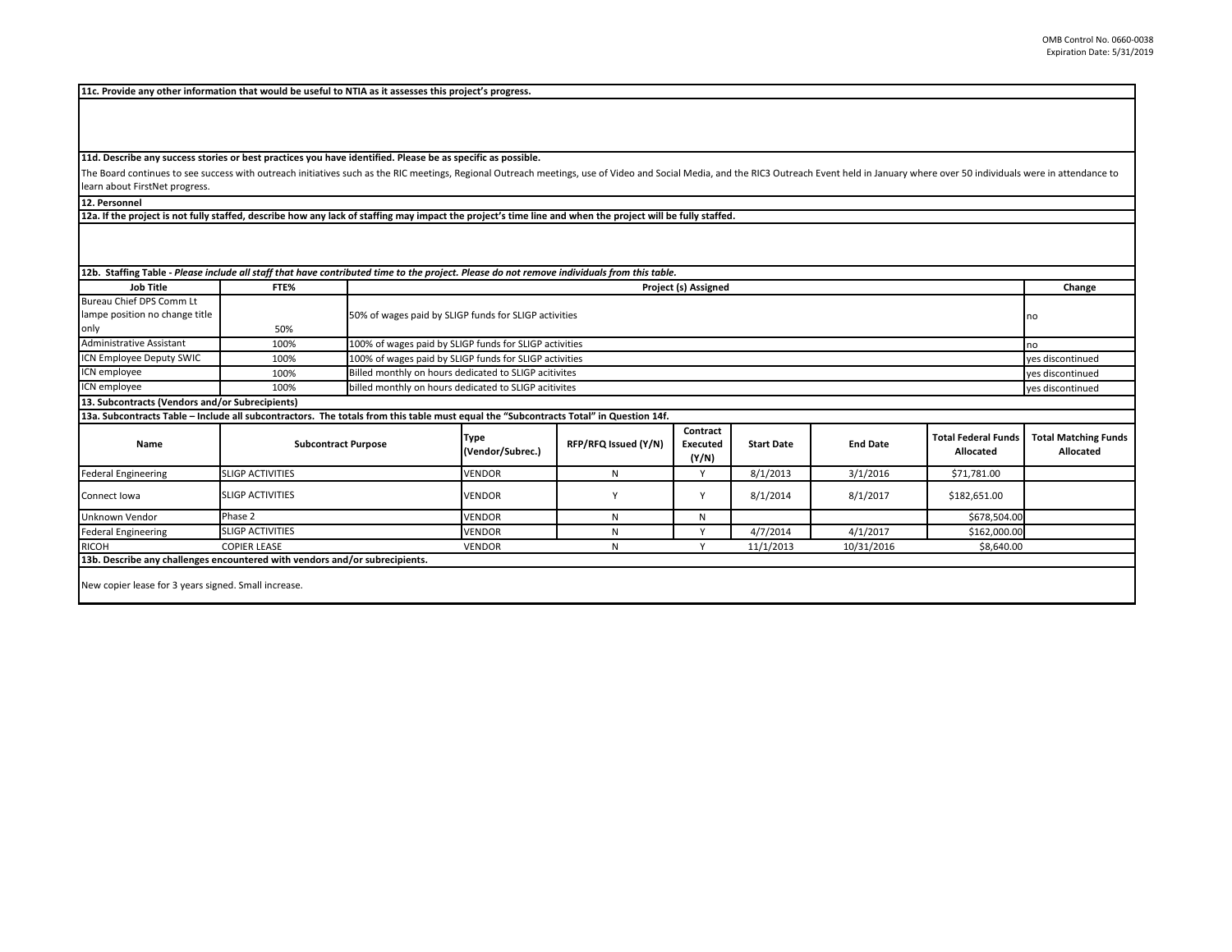**11c. Provide any other information that would be useful to NTIA as it assesses this project's progress.** 

**11d. Describe any success stories or best practices you have identified. Please be as specific as possible.**

The Board continues to see success with outreach initiatives such as the RIC meetings, Regional Outreach meetings, use of Video and Social Media, and the RIC3 Outreach Event held in January where over 50 individuals were i learn about FirstNet progress.

**12. Personnel** 

**12a. If the project is not fully staffed, describe how any lack of staffing may impact the project's time line and when the project will be fully staffed.**

| 12b. Staffing Table - Please include all staff that have contributed time to the project. Please do not remove individuals from this table. |                            |                                                        |                                                                           |                      |                                      |                   |                 |                                         |                                          |
|---------------------------------------------------------------------------------------------------------------------------------------------|----------------------------|--------------------------------------------------------|---------------------------------------------------------------------------|----------------------|--------------------------------------|-------------------|-----------------|-----------------------------------------|------------------------------------------|
| <b>Job Title</b>                                                                                                                            | FTE%                       |                                                        | Project (s) Assigned                                                      |                      |                                      |                   |                 |                                         |                                          |
| Bureau Chief DPS Comm Lt                                                                                                                    |                            |                                                        |                                                                           |                      |                                      |                   |                 |                                         |                                          |
| lampe position no change title                                                                                                              |                            |                                                        | 50% of wages paid by SLIGP funds for SLIGP activities                     |                      |                                      |                   |                 |                                         |                                          |
| only                                                                                                                                        | 50%                        |                                                        |                                                                           |                      |                                      |                   |                 |                                         |                                          |
| <b>Administrative Assistant</b>                                                                                                             | 100%                       | 100% of wages paid by SLIGP funds for SLIGP activities | no                                                                        |                      |                                      |                   |                 |                                         |                                          |
| ICN Employee Deputy SWIC                                                                                                                    | 100%                       | 100% of wages paid by SLIGP funds for SLIGP activities |                                                                           |                      |                                      |                   |                 |                                         | yes discontinued                         |
| ICN employee                                                                                                                                | 100%                       |                                                        | Billed monthly on hours dedicated to SLIGP acitivites<br>yes discontinued |                      |                                      |                   |                 |                                         |                                          |
| ICN employee                                                                                                                                | 100%                       |                                                        | billed monthly on hours dedicated to SLIGP acitivites                     |                      |                                      |                   |                 |                                         | yes discontinued                         |
| 13. Subcontracts (Vendors and/or Subrecipients)                                                                                             |                            |                                                        |                                                                           |                      |                                      |                   |                 |                                         |                                          |
| 13a. Subcontracts Table - Include all subcontractors. The totals from this table must equal the "Subcontracts Total" in Question 14f.       |                            |                                                        |                                                                           |                      |                                      |                   |                 |                                         |                                          |
| Name                                                                                                                                        | <b>Subcontract Purpose</b> |                                                        | Type<br>(Vendor/Subrec.)                                                  | RFP/RFQ Issued (Y/N) | Contract<br><b>Executed</b><br>(Y/N) | <b>Start Date</b> | <b>End Date</b> | <b>Total Federal Funds</b><br>Allocated | <b>Total Matching Funds</b><br>Allocated |
| <b>Federal Engineering</b>                                                                                                                  | <b>SLIGP ACTIVITIES</b>    |                                                        | <b>VENDOR</b>                                                             | N                    | $\mathsf{v}$                         | 8/1/2013          | 3/1/2016        | \$71,781.00                             |                                          |
| Connect Iowa                                                                                                                                | <b>SLIGP ACTIVITIES</b>    |                                                        | <b>VENDOR</b>                                                             |                      | Y                                    | 8/1/2014          | 8/1/2017        | \$182,651.00                            |                                          |
| Unknown Vendor                                                                                                                              | Phase 2                    |                                                        | <b>VENDOR</b>                                                             | N                    | N                                    |                   |                 | \$678,504.00                            |                                          |
| <b>Federal Engineering</b>                                                                                                                  | <b>SLIGP ACTIVITIES</b>    |                                                        | <b>VENDOR</b>                                                             | N                    | $\mathbf{v}$                         | 4/7/2014          | 4/1/2017        | \$162,000.00                            |                                          |
| <b>RICOH</b>                                                                                                                                | <b>COPIER LEASE</b>        |                                                        | <b>VENDOR</b>                                                             | N                    |                                      | 11/1/2013         | 10/31/2016      | \$8,640.00                              |                                          |
| 13b. Describe any challenges encountered with vendors and/or subrecipients.                                                                 |                            |                                                        |                                                                           |                      |                                      |                   |                 |                                         |                                          |
| New copier lease for 3 years signed. Small increase.                                                                                        |                            |                                                        |                                                                           |                      |                                      |                   |                 |                                         |                                          |